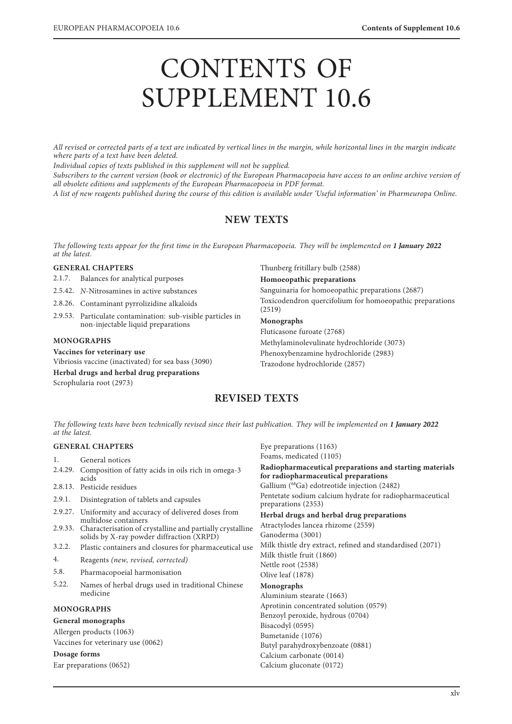# CONTENTS OF SUPPLEMENT 10.6

*All revised or corrected parts of a text are indicated by vertical lines in the margin, while horizontal lines in the margin indicate where parts of a text have been deleted.*

*Individual copies of texts published in this supplement will not be supplied.*

*Subscribers to the current version (book or electronic) of the European Pharmacopoeia have access to an online archive version of all obsolete editions and supplements of the European Pharmacopoeia in PDF format.*

*A list of new reagents published during the course of this edition is available under 'Useful information' in Pharmeuropa Online.*

## **NEW TEXTS**

*The following texts appear for the first time in the European Pharmacopoeia. They will be implemented on* **1 January 2022** *at the latest.*

## **GENERAL CHAPTERS**

2.1.7. Balances for analytical purposes

2.5.42. *N*-Nitrosamines in active substances

2.8.26. Contaminant pyrrolizidine alkaloids

2.9.53. Particulate contamination: sub-visible particles in non-injectable liquid preparations

## **MONOGRAPHS**

## **Vaccines for veterinary use**

Vibriosis vaccine (inactivated) for sea bass (3090) **Herbal drugs and herbal drug preparations**

Scrophularia root (2973)

Thunberg fritillary bulb (2588)

#### **Homoeopathic preparations**

Sanguinaria for homoeopathic preparations (2687) Toxicodendron quercifolium for homoeopathic preparations (2519)

## **Monographs**

Fluticasone furoate (2768) Methylaminolevulinate hydrochloride (3073) Phenoxybenzamine hydrochloride (2983) Trazodone hydrochloride (2857)

## **REVISED TEXTS**

*The following texts have been technically revised since their last publication. They will be implemented on* **1 January 2022** *at the latest.*

## **GENERAL CHAPTERS**

1. General notices

- 2.4.29. Composition of fatty acids in oils rich in omega-3 acids
- 2.8.13. Pesticide residues
- 2.9.1. Disintegration of tablets and capsules
- 2.9.27. Uniformity and accuracy of delivered doses from multidose containers
- 2.9.33. Characterisation of crystalline and partially crystalline solids by X-ray powder diffraction (XRPD)
- 3.2.2. Plastic containers and closures for pharmaceutical use
- 4. Reagents *(new, revised, corrected)*
- 5.8. Pharmacopoeial harmonisation
- 5.22. Names of herbal drugs used in traditional Chinese medicine

## **MONOGRAPHS**

#### **General monographs**

Allergen products (1063) Vaccines for veterinary use (0062)

**Dosage forms**

Ear preparations (0652)

Eye preparations (1163) Foams, medicated (1105) **Radiopharmaceutical preparations and starting materials for radiopharmaceutical preparations** Gallium (68Ga) edotreotide injection (2482) Pentetate sodium calcium hydrate for radiopharmaceutical preparations (2353) **Herbal drugs and herbal drug preparations** Atractylodes lancea rhizome (2559) Ganoderma (3001) Milk thistle dry extract, refined and standardised (2071) Milk thistle fruit (1860) Nettle root (2538) Olive leaf (1878) **Monographs** Aluminium stearate (1663) Aprotinin concentrated solution (0579) Benzoyl peroxide, hydrous (0704) Bisacodyl (0595) Bumetanide (1076) Butyl parahydroxybenzoate (0881) Calcium carbonate (0014)

Calcium gluconate (0172)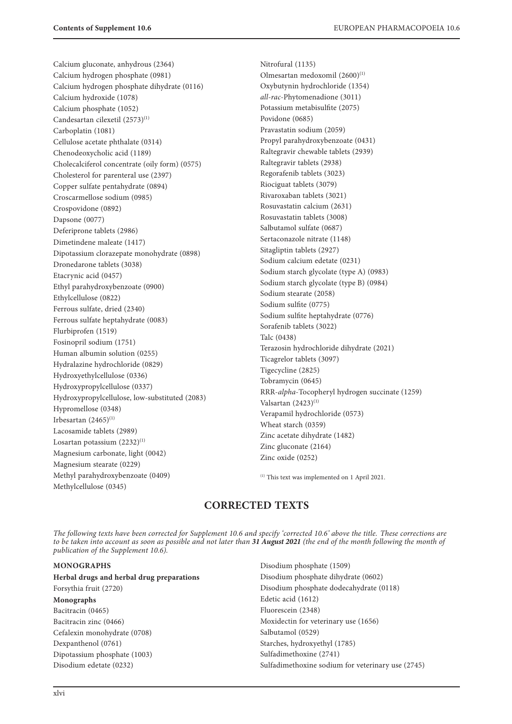Calcium gluconate, anhydrous (2364) Calcium hydrogen phosphate (0981) Calcium hydrogen phosphate dihydrate (0116) Calcium hydroxide (1078) Calcium phosphate (1052) Candesartan cilexetil  $(2573)^{(1)}$ Carboplatin (1081) Cellulose acetate phthalate (0314) Chenodeoxycholic acid (1189) Cholecalciferol concentrate (oily form) (0575) Cholesterol for parenteral use (2397) Copper sulfate pentahydrate (0894) Croscarmellose sodium (0985) Crospovidone (0892) Dapsone (0077) Deferiprone tablets (2986) Dimetindene maleate (1417) Dipotassium clorazepate monohydrate (0898) Dronedarone tablets (3038) Etacrynic acid (0457) Ethyl parahydroxybenzoate (0900) Ethylcellulose (0822) Ferrous sulfate, dried (2340) Ferrous sulfate heptahydrate (0083) Flurbiprofen (1519) Fosinopril sodium (1751) Human albumin solution (0255) Hydralazine hydrochloride (0829) Hydroxyethylcellulose (0336) Hydroxypropylcellulose (0337) Hydroxypropylcellulose, low-substituted (2083) Hypromellose (0348) Irbesartan  $(2465)^{(1)}$ Lacosamide tablets (2989) Losartan potassium  $(2232)^{(1)}$ Magnesium carbonate, light (0042) Magnesium stearate (0229) Methyl parahydroxybenzoate (0409) Methylcellulose (0345)

Nitrofural (1135) Olmesartan medoxomil (2600)<sup>(1)</sup> Oxybutynin hydrochloride (1354) *all*-*rac*-Phytomenadione (3011) Potassium metabisulfite (2075) Povidone (0685) Pravastatin sodium (2059) Propyl parahydroxybenzoate (0431) Raltegravir chewable tablets (2939) Raltegravir tablets (2938) Regorafenib tablets (3023) Riociguat tablets (3079) Rivaroxaban tablets (3021) Rosuvastatin calcium (2631) Rosuvastatin tablets (3008) Salbutamol sulfate (0687) Sertaconazole nitrate (1148) Sitagliptin tablets (2927) Sodium calcium edetate (0231) Sodium starch glycolate (type A) (0983) Sodium starch glycolate (type B) (0984) Sodium stearate (2058) Sodium sulfite (0775) Sodium sulfite heptahydrate (0776) Sorafenib tablets (3022) Talc (0438) Terazosin hydrochloride dihydrate (2021) Ticagrelor tablets (3097) Tigecycline (2825) Tobramycin (0645) RRR-*alpha*-Tocopheryl hydrogen succinate (1259) Valsartan  $(2423)^{(1)}$ Verapamil hydrochloride (0573) Wheat starch (0359) Zinc acetate dihydrate (1482) Zinc gluconate (2164) Zinc oxide (0252)

(1) This text was implemented on 1 April 2021.

# **CORRECTED TEXTS**

*The following texts have been corrected for Supplement 10.6 and specify 'corrected 10.6' above the title. These corrections are to be taken into account as soon as possible and not later than* **31 August 2021** *(the end of the month following the month of publication of the Supplement 10.6).*

## **MONOGRAPHS**

**Herbal drugs and herbal drug preparations** Forsythia fruit (2720) **Monographs** Bacitracin (0465) Bacitracin zinc (0466) Cefalexin monohydrate (0708) Dexpanthenol (0761) Dipotassium phosphate (1003) Disodium edetate (0232)

Disodium phosphate (1509) Disodium phosphate dihydrate (0602) Disodium phosphate dodecahydrate (0118) Edetic acid (1612) Fluorescein (2348) Moxidectin for veterinary use (1656) Salbutamol (0529) Starches, hydroxyethyl (1785) Sulfadimethoxine (2741) Sulfadimethoxine sodium for veterinary use (2745)